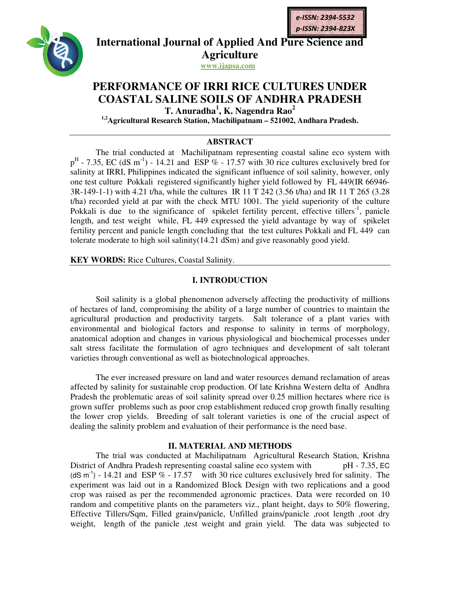

**International Journal of Applied And Pure Science and Agriculture**

**www.ijapsa.com**

## **PERFORMANCE OF IRRI RICE CULTURES UNDER PERFORMANCE RICE CULTURES COASTAL SALINE SOILS OF ANDHRA PRADESH COASTAL**

T. Anuradha<sup>1</sup>, K. Nagendra Rao<sup>2</sup>

**1,2Agricultural Research Station, Machilipatnam – 521002, Andhara Pradesh.**

### **ABSTRACT**

The trial conducted at Machilipatnam representing coastal saline eco system with The trial conducted at Machilipatnam representing coastal saline eco system with  $p^H$  - 7.35, EC (dS m<sup>-1</sup>) - 14.21 and ESP % - 17.57 with 30 rice cultures exclusively bred for salinity at IRRI, Philippines indicated the salinity at IRRI, Philippines indicated the significant influence of soil salinity, however, only one test culture Pokkali registered significantly higher yield followed by FL 449(IR 66946 3R-149-1-1) with 4.21 t/ha, while the cultures IR 11 T 242 (3.56 t/ha) and IR 11 T 265 (3.28 t/ha) recorded yield at par with the check MTU 1001. The yield superiority of the culture Pokkali is due to the significance of spikelet fertility percent, effective tillers length, and test weight while, FL 449 expressed the yield advantage by way of spikelet fertility percent and panicle length concluding that the test cultures Pokkali and FL 449 can tolerate moderate to high soil salinity(14.21 dSm) and give reasonably good yield. fertility percent and panicle length concluding that<br>tolerate moderate to high soil salinity.<br>**KEY WORDS:** Rice Cultures, Coastal Salinity. 3R-149-1-1) with 4.21 t/ha, while the cultures IR 11 T 242 (3.56 t/ha) and IR 11 T 265 (3.28 t/ha) recorded yield at par with the check MTU 1001. The yield superiority of the culture Pokkali is due to the significance of **EFFRIGHTER 11**<br> **EFFRIGHTER 10**<br> **EFFRIGHTER AND PRIGHTER SOILS 2008-2538, 2539-5238,<br>
Apriculture And Pure Science an<br>
Application and Application<br>
T. Andrealina, K. Nagendra Rao<sup>2</sup><br>
<sup>Application and The animalia A. K. N**</sup>

#### **I. INTRODUCTION**

Soil salinity is a global phenomenon adversely affecting the productivity of millions of hectares of land, compromising the ability of a large number of countries to maintain the agricultural production and productivity targets. Salt tolerance of a plant varies with environmental and biological factors and response to salinity in terms of morphology, anatomical adoption and changes in various physiological and biochemical processes under salt stress facilitate the formulation of agro techniques and development of salt tolerant varieties through conventional as well as biotechnological approaches. fertility percent and panicle length concluding that the test cultures Pokkali and FL 449 can<br>volerate moderate to high soil salinity (14.21 dSm) and give reasonably good yield.<br>**KEY WORDS:** Rice Cultures, Coastal Salinity

The ever increased pressure on land and water resources demand reclamation of areas affected by salinity for sustainable crop production. Of late Krishna Western delta of Andhra Pradesh the problematic areas of soil salinity spread over 0.25 million hectares where rice is grown suffer problems such as poor crop establishment reduced crop growth finally resulting the lower crop yields. Breeding of salt tolerant varieties is one of the crucial aspect o dealing the salinity problem and evaluation of their performance is the need base. ares of land, compromising the ability of a large number of countries to maintain the tural production and productivity targets. Salt tolerance of a plant varies with mental and biological factors and response to salinity

## **II. MATERIAL AND METHODS MATERIAL METHODS**

The trial was conducted at Machilipatnam Agricultural Research Station, Krishna District of Andhra Pradesh representing coastal saline eco system with The trial was conducted at Machilipatnam Agricultural Research Station, Krishna<br>District of Andhra Pradesh representing coastal saline eco system with pH - 7.35, EC<br>(dS m<sup>-1</sup>) - 14.21 and ESP % - 17.57 with 30 rice culture experiment was laid out in a Randomized Block Design with two replications and a good crop was raised as per the recommended agronomic practices. Data were recorded on 10 experiment was laid out in a Randomized Block Design with two replications and a good<br>crop was raised as per the recommended agronomic practices. Data were recorded on 10<br>random and competitive plants on the parameters viz Effective Tillers/Sqm, Filled grains/panicle, Unfilled grains/panicle ,root length ,root dry weight, length of the panicle , test weight and grain yield. The data was subjected to dealing the salinity problem and evaluation of their performance is the need base.<br> **II. MATERIAL AND METHODS**<br>
The trial was conducted at Machilipatnam Agricultural Research Station, Krishna<br>
District of Andhra Pradesh re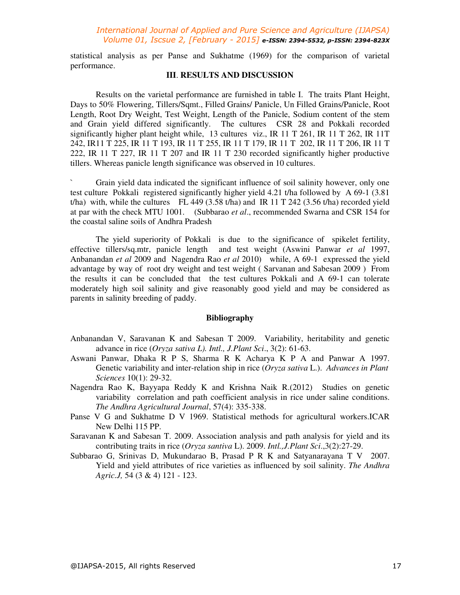#### *International Journal of Applied and Pure Science and Agriculture (IJAPSA) Volume 01, Iscsue 2, [February - 2015] e-ISSN: 2394-5532, p-ISSN: 2394-823X*

statistical analysis as per Panse and Sukhatme (1969) for the comparison of varietal performance.

#### **III**. **RESULTS AND DISCUSSION**

 Results on the varietal performance are furnished in table I. The traits Plant Height, Days to 50% Flowering, Tillers/Sqmt., Filled Grains/ Panicle, Un Filled Grains/Panicle, Root Length, Root Dry Weight, Test Weight, Length of the Panicle, Sodium content of the stem and Grain yield differed significantly. The cultures CSR 28 and Pokkali recorded significantly higher plant height while, 13 cultures viz., IR 11 T 261, IR 11 T 262, IR 11T 242, IR11 T 225, IR 11 T 193, IR 11 T 255, IR 11 T 179, IR 11 T 202, IR 11 T 206, IR 11 T 222, IR 11 T 227, IR 11 T 207 and IR 11 T 230 recorded significantly higher productive tillers. Whereas panicle length significance was observed in 10 cultures.

Grain yield data indicated the significant influence of soil salinity however, only one test culture Pokkali registered significantly higher yield 4.21 t/ha followed by A 69-1 (3.81 t/ha) with, while the cultures FL 449 (3.58 t/ha) and IR 11 T 242 (3.56 t/ha) recorded yield at par with the check MTU 1001. (Subbarao *et al*., recommended Swarna and CSR 154 for the coastal saline soils of Andhra Pradesh

The yield superiority of Pokkali is due to the significance of spikelet fertility, effective tillers/sq.mtr, panicle length and test weight (Aswini Panwar *et al* 1997, Anbanandan *et al* 2009 and Nagendra Rao *et al* 2010) while, A 69-1 expressed the yield advantage by way of root dry weight and test weight ( Sarvanan and Sabesan 2009 ) From the results it can be concluded that the test cultures Pokkali and A 69-1 can tolerate moderately high soil salinity and give reasonably good yield and may be considered as parents in salinity breeding of paddy.

#### **Bibliography**

- Anbanandan V, Saravanan K and Sabesan T 2009. Variability, heritability and genetic advance in rice (*Oryza sativa L). Intl., J.Plant Sci*., 3(2): 61-63.
- Aswani Panwar, Dhaka R P S, Sharma R K Acharya K P A and Panwar A 1997. Genetic variability and inter-relation ship in rice (*Oryza sativa* L.). *Advances in Plant Sciences* 10(1): 29-32.
- Nagendra Rao K, Bayyapa Reddy K and Krishna Naik R.(2012) Studies on genetic variability correlation and path coefficient analysis in rice under saline conditions. *The Andhra Agricultural Journal*, 57(4): 335-338.
- Panse V G and Sukhatme D V 1969. Statistical methods for agricultural workers.ICAR New Delhi 115 PP.
- Saravanan K and Sabesan T. 2009. Association analysis and path analysis for yield and its contributing traits in rice (*Oryza santiva* L). 2009. *Intl.,J.Plant Sci*.,3(2):27-29.
- Subbarao G, Srinivas D, Mukundarao B, Prasad P R K and Satyanarayana T V 2007. Yield and yield attributes of rice varieties as influenced by soil salinity. *The Andhra Agric.J,* 54 (3 & 4) 121 - 123.